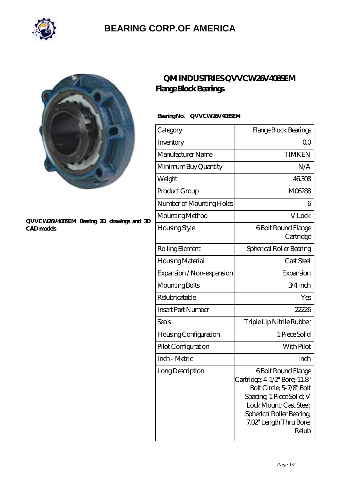

## **[BEARING CORP.OF AMERICA](https://m.bluemondayreview.com)**



#### **[QVVCW26V408SEM Bearing 2D drawings and 3D](https://m.bluemondayreview.com/pic-175486.html) [CAD models](https://m.bluemondayreview.com/pic-175486.html)**

## **[QM INDUSTRIES QVVCW26V408SEM](https://m.bluemondayreview.com/az-175486-qm-industries-qvvcw26v408sem-flange-block-bearings.html) [Flange Block Bearings](https://m.bluemondayreview.com/az-175486-qm-industries-qvvcw26v408sem-flange-block-bearings.html)**

### **Bearing No. QVVCW26V408SEM**

| Category                     | Flange Block Bearings                                                                                                                                                                                          |
|------------------------------|----------------------------------------------------------------------------------------------------------------------------------------------------------------------------------------------------------------|
| Inventory                    | 00                                                                                                                                                                                                             |
| Manufacturer Name            | <b>TIMKEN</b>                                                                                                                                                                                                  |
| Minimum Buy Quantity         | N/A                                                                                                                                                                                                            |
| Weight                       | 46308                                                                                                                                                                                                          |
| Product Group                | M06288                                                                                                                                                                                                         |
| Number of Mounting Holes     | 6                                                                                                                                                                                                              |
| Mounting Method              | V Lock                                                                                                                                                                                                         |
| Housing Style                | 6 Bolt Round Flange<br>Cartridge                                                                                                                                                                               |
| Rolling Element              | Spherical Roller Bearing                                                                                                                                                                                       |
| Housing Material             | Cast Steel                                                                                                                                                                                                     |
| Expansion / Non-expansion    | Expansion                                                                                                                                                                                                      |
| Mounting Bolts               | 3/4Inch                                                                                                                                                                                                        |
| Relubricatable               | Yes                                                                                                                                                                                                            |
| <b>Insert Part Number</b>    | 22226                                                                                                                                                                                                          |
| <b>Seals</b>                 | Triple Lip Nitrile Rubber                                                                                                                                                                                      |
| <b>Housing Configuration</b> | 1 Piece Solid                                                                                                                                                                                                  |
| Pilot Configuration          | With Pilot                                                                                                                                                                                                     |
| Inch - Metric                | Inch                                                                                                                                                                                                           |
| Long Description             | <b>6Bolt Round Flange</b><br>Cartridge; 4 1/2" Bore; 11.8"<br>Bolt Circle; 5-7/8' Bolt<br>Spacing, 1 Piece Solid; V<br>Lock Mount; Cast Steel;<br>Spherical Roller Bearing<br>7.02" Length Thru Bore;<br>Relub |